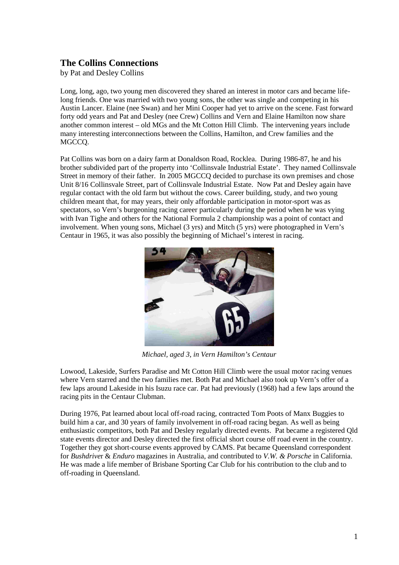## **The Collins Connections**

by Pat and Desley Collins

Long, long, ago, two young men discovered they shared an interest in motor cars and became lifelong friends. One was married with two young sons, the other was single and competing in his Austin Lancer. Elaine (nee Swan) and her Mini Cooper had yet to arrive on the scene. Fast forward forty odd years and Pat and Desley (nee Crew) Collins and Vern and Elaine Hamilton now share another common interest – old MGs and the Mt Cotton Hill Climb. The intervening years include many interesting interconnections between the Collins, Hamilton, and Crew families and the MGCCQ.

Pat Collins was born on a dairy farm at Donaldson Road, Rocklea. During 1986-87, he and his brother subdivided part of the property into 'Collinsvale Industrial Estate'. They named Collinsvale Street in memory of their father. In 2005 MGCCQ decided to purchase its own premises and chose Unit 8/16 Collinsvale Street, part of Collinsvale Industrial Estate. Now Pat and Desley again have regular contact with the old farm but without the cows. Career building, study, and two young children meant that, for may years, their only affordable participation in motor-sport was as spectators, so Vern's burgeoning racing career particularly during the period when he was vying with Ivan Tighe and others for the National Formula 2 championship was a point of contact and involvement. When young sons, Michael (3 yrs) and Mitch (5 yrs) were photographed in Vern's Centaur in 1965, it was also possibly the beginning of Michael's interest in racing.



*Michael, aged 3, in Vern Hamilton's Centaur*

Lowood, Lakeside, Surfers Paradise and Mt Cotton Hill Climb were the usual motor racing venues where Vern starred and the two families met. Both Pat and Michael also took up Vern's offer of a few laps around Lakeside in his Isuzu race car. Pat had previously (1968) had a few laps around the racing pits in the Centaur Clubman.

During 1976, Pat learned about local off-road racing, contracted Tom Poots of Manx Buggies to build him a car, and 30 years of family involvement in off-road racing began. As well as being enthusiastic competitors, both Pat and Desley regularly directed events. Pat became a registered Qld state events director and Desley directed the first official short course off road event in the country. Together they got short-course events approved by CAMS. Pat became Queensland correspondent for *Bushdrive*r & *Enduro* magazines in Australia, and contributed to *V.W. & Porsche* in California. He was made a life member of Brisbane Sporting Car Club for his contribution to the club and to off-roading in Queensland.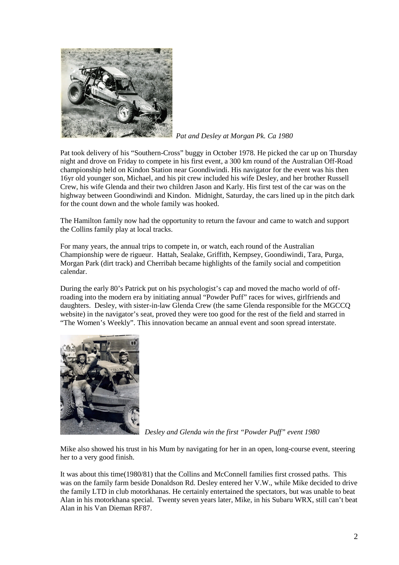

*Pat and Desley at Morgan Pk. Ca 1980*

Pat took delivery of his "Southern-Cross" buggy in October 1978. He picked the car up on Thursday night and drove on Friday to compete in his first event, a 300 km round of the Australian Off-Road championship held on Kindon Station near Goondiwindi. His navigator for the event was his then 16yr old younger son, Michael, and his pit crew included his wife Desley, and her brother Russell Crew, his wife Glenda and their two children Jason and Karly. His first test of the car was on the highway between Goondiwindi and Kindon. Midnight, Saturday, the cars lined up in the pitch dark for the count down and the whole family was hooked.

The Hamilton family now had the opportunity to return the favour and came to watch and support the Collins family play at local tracks.

For many years, the annual trips to compete in, or watch, each round of the Australian Championship were de rigueur. Hattah, Sealake, Griffith, Kempsey, Goondiwindi, Tara, Purga, Morgan Park (dirt track) and Cherribah became highlights of the family social and competition calendar.

During the early 80's Patrick put on his psychologist's cap and moved the macho world of offroading into the modern era by initiating annual "Powder Puff" races for wives, girlfriends and daughters. Desley, with sister-in-law Glenda Crew (the same Glenda responsible for the MGCCQ website) in the navigator's seat, proved they were too good for the rest of the field and starred in "The Women's Weekly". This innovation became an annual event and soon spread interstate.



*Desley and Glenda win the first "Powder Puff" event 1980*

Mike also showed his trust in his Mum by navigating for her in an open, long-course event, steering her to a very good finish.

It was about this time(1980/81) that the Collins and McConnell families first crossed paths. This was on the family farm beside Donaldson Rd. Desley entered her V.W., while Mike decided to drive the family LTD in club motorkhanas. He certainly entertained the spectators, but was unable to beat Alan in his motorkhana special. Twenty seven years later, Mike, in his Subaru WRX, still can't beat Alan in his Van Dieman RF87.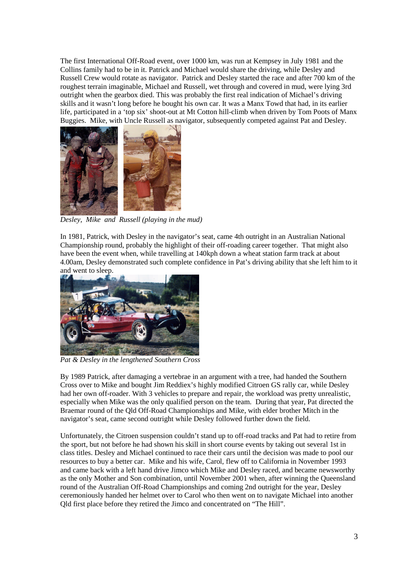The first International Off-Road event, over 1000 km, was run at Kempsey in July 1981 and the Collins family had to be in it. Patrick and Michael would share the driving, while Desley and Russell Crew would rotate as navigator. Patrick and Desley started the race and after 700 km of the roughest terrain imaginable, Michael and Russell, wet through and covered in mud, were lying 3rd outright when the gearbox died. This was probably the first real indication of Michael's driving skills and it wasn't long before he bought his own car. It was a Manx Towd that had, in its earlier life, participated in a 'top six' shoot-out at Mt Cotton hill-climb when driven by Tom Poots of Manx Buggies. Mike, with Uncle Russell as navigator, subsequently competed against Pat and Desley.



*Desley, Mike and Russell (playing in the mud)*

In 1981, Patrick, with Desley in the navigator's seat, came 4th outright in an Australian National Championship round, probably the highlight of their off-roading career together. That might also have been the event when, while travelling at 140kph down a wheat station farm track at about 4.00am, Desley demonstrated such complete confidence in Pat's driving ability that she left him to it and went to sleep.



*Pat & Desley in the lengthened Southern Cross*

By 1989 Patrick, after damaging a vertebrae in an argument with a tree, had handed the Southern Cross over to Mike and bought Jim Reddiex's highly modified Citroen GS rally car, while Desley had her own off-roader. With 3 vehicles to prepare and repair, the workload was pretty unrealistic, especially when Mike was the only qualified person on the team. During that year, Pat directed the Braemar round of the Qld Off-Road Championships and Mike, with elder brother Mitch in the navigator's seat, came second outright while Desley followed further down the field.

Unfortunately, the Citroen suspension couldn't stand up to off-road tracks and Pat had to retire from the sport, but not before he had shown his skill in short course events by taking out several 1st in class titles. Desley and Michael continued to race their cars until the decision was made to pool our resources to buy a better car. Mike and his wife, Carol, flew off to California in November 1993 and came back with a left hand drive Jimco which Mike and Desley raced, and became newsworthy as the only Mother and Son combination, until November 2001 when, after winning the Queensland round of the Australian Off-Road Championships and coming 2nd outright for the year, Desley ceremoniously handed her helmet over to Carol who then went on to navigate Michael into another Qld first place before they retired the Jimco and concentrated on "The Hill".